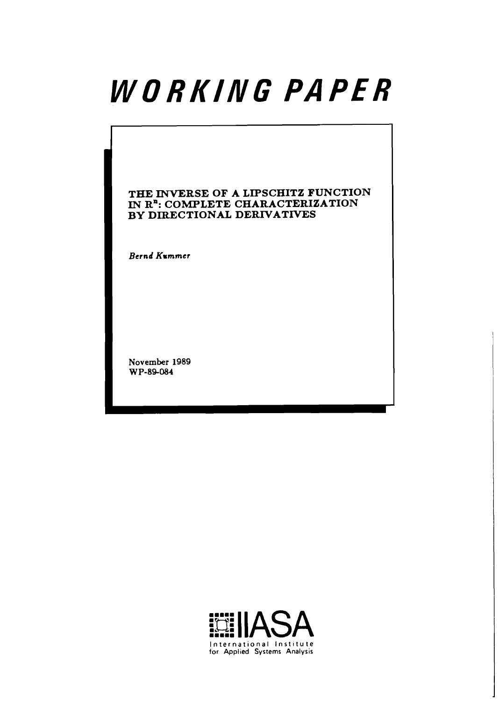# WORKING PAPER

# **THE INVERSE OF A LIPSCHITZ FUNCTION IN R<sup>n</sup>: COMPLETE CHARACTERIZATION BY DIRECTIONAL DERIVATIVES**

**Bernd Kummer** 

**November 1989 W P-89-084** 

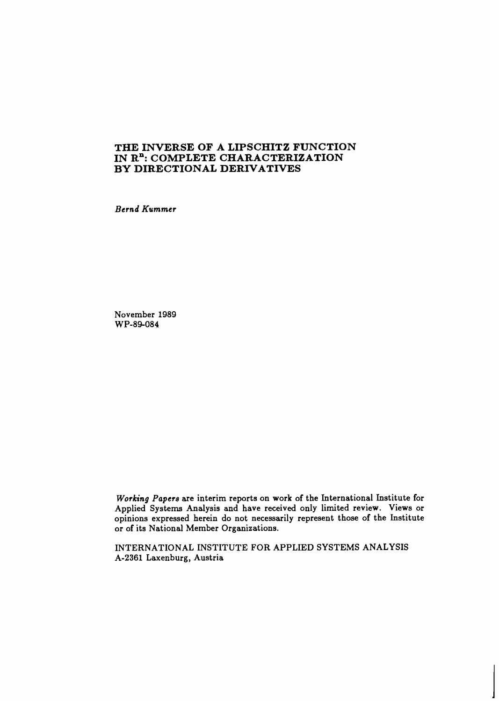# **THE INVERSE OF A LIPSCHITZ FUNCTION**  IN R<sup>n</sup>: COMPLETE CHARACTERIZATION **BY DIRECTIONAL DERIVATIVES**

*Bernd Kummer* 

November 1989 WP-89-084

*Working Papere* are interim reports on work of the International Institute for Applied Systems Analysis and have received only limited review. Views or opinions expressed herein do not necessarily represent those of the Institute or of its National Member Organizations.

INTERNATIONAL INSTITUTE FOR APPLIED SYSTEMS ANALYSIS A-2361 Laxenburg, Austria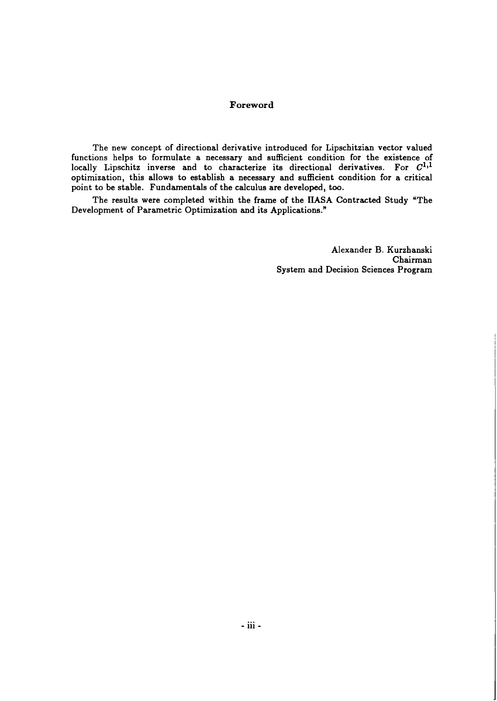## **Foreword**

The new concept of directional derivative introduced for Lipschitzian vector valued functions helps to formulate a necessary and sufficient condition for the existence of locally Lipschitz inverse and to characterize its directional derivatives. For  $C^{1,1}$ optimization, this allows to establish a necessary and sufficient condition for a critical point to be stable. Fundamentals of the calculus are developed, too.

The results were completed within the frame of the IIASA Contracted Study "The Development of Parametric Optimization and its Applications."

> Alexander B. Kurzhanski Chairman System and Decision Sciences Program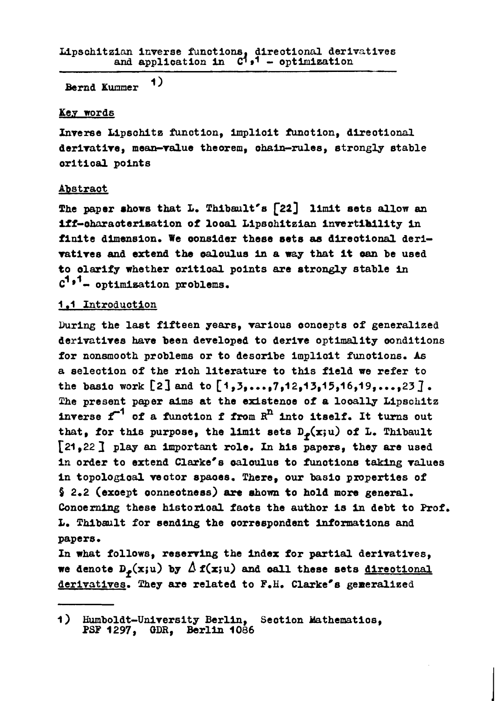$\left\langle \mathbf{1}\right\rangle$ Bernd Kummer

# Key words

Inverse Lipschitz function, implicit function, directional derivative, mean-value theorem, chain-rules, strongly stable critical points

# Abstract

The paper shows that L. Thibault's [22] limit sets allow an iff-characterisation of local Lipschitzian invertibility in finite dimension. We consider these sets as directional derivatives and extend the calculus in a way that it can be used to clarify whether critical points are strongly stable in  $C^{1*1}$ - optimisation problems.

# 1.1 Introduction

During the last fifteen years, various concepts of generalized derivatives have been developed to derive optimality conditions for nonsmooth problems or to describe implicit functions. As a selection of the rich literature to this field we refer to the basic work [2] and to  $[1, 3, ..., 7, 12, 13, 15, 16, 19, ..., 23]$ . The present paper aims at the existence of a locally Lipschitz inverse  $f^{-1}$  of a function f from  $R^{\text{n}}$  into itself. It turns out that, for this purpose, the limit sets  $D_{\varphi}(x;u)$  of L. Thibault [21,22] play an important role. In his papers, they are used in order to extend Clarke's calculus to functions taking values in topological vector spaces. There, our basic properties of  $\frac{1}{2}$  2.2 (except connectness) are shown to hold more general. Concerning these historical facts the author is in debt to Prof. L. Thibault for sending the correspondent informations and papers.

In what follows, reserving the index for partial derivatives, we denote  $D_p(x;u)$  by  $\Delta f(x;u)$  and call these sets directional derivatives. They are related to F.H. Clarke's generalized

Humboldt-University Berlin, Section Mathematics, PSF 1297, GDR, Berlin 1086  $\overline{1}$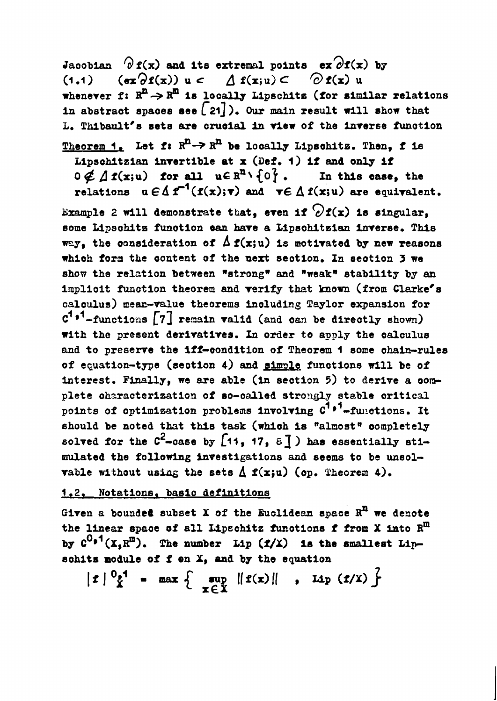Jacobian  $\partial$  f(x) and its extremal points ex $\partial$ f(x) by  $(\sigma x \partial f(x))$  u  $\subset \Delta f(x; u) \subset \partial f(x)$  u  $(1.1)$ whenever f:  $R^{n} \rightarrow R^{m}$  is locally Lipschitz (for similar relations in abstract spaces see  $[21]$ ). Our main result will show that L. Thibault's sets are crucial in view of the inverse function Theorem 1. Let f:  $R^n \rightarrow R^n$  be locally Lipschitz. Then. f is Lipschitzian invertible at x (Def. 1) if and only if  $0 \notin \Lambda f(x; u)$  for all  $u \in R^n \setminus \{0\}$ . In this case, the relations  $u \in \Delta f^{-1}(f(x); \tau)$  and  $\tau \in \Delta f(x; u)$  are equivalent. Example 2 will demonstrate that, even if  $\partial f(x)$  is singular, some Lipschitz function can have a Lipschitzian inverse. This way, the consideration of  $\Delta$  f(x;u) is motivated by new reasons which form the content of the next section. In section 3 we show the relation between "strong" and "weak" stability by an implicit function theorem and verify that known (from Clarke's calculus) mean-value theorems including Taylor expansion for  $C^{1,1}$ -functions  $\begin{bmatrix} 7 \end{bmatrix}$  remain valid (and can be directly shown) with the present derivatives. In order to apply the calculus and to preserve the iff-condition of Theorem 1 some chain-rules of equation-type (section 4) and simple functions will be of interest. Finally, we are able (in section 5) to derive a complete characterization of so-called strongly stable critical points of optimization problems involving  $c^{1*1}$ -functions. It should be noted that this task (which is "almost" completely solved for the  $C^2$ -case by  $[11, 17, 8]$ ) has essentially stimulated the following investigations and seems to be unsolvable without using the sets  $\Delta$  f(x;u) (op. Theorem 4).

# 1.2. Notations, basic definitions

Given a bounded subset  $X$  of the Euclidean space  $R<sup>n</sup>$  we denote the linear space of all Lipschitz functions f from X into R<sup>m</sup> by  $C^{0.1}(X, R^{m})$ . The number Lip  $(f/X)$  is the smallest Lipschits module of f en X, and by the equation

$$
|t| \tfrac{0.1}{X} - \max \left\{ \sup_{x \in X} ||t(x)||, \text{ Lip } (t/X) \right\}
$$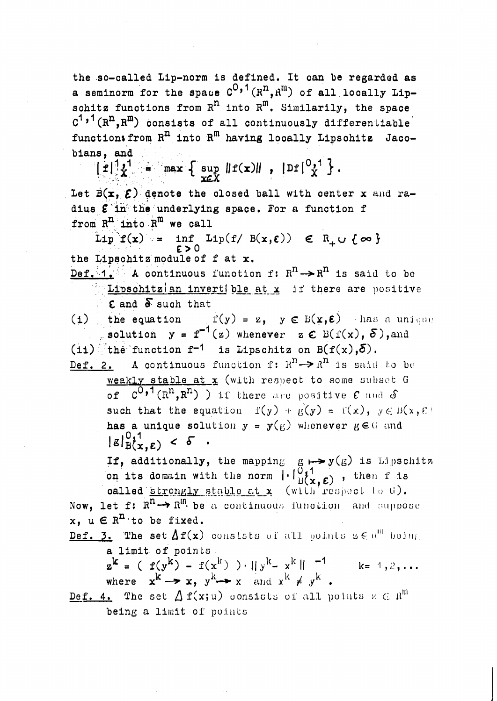the so-called Lip-norm is defined. It can be regarded as a seminorm for the space  $C^{0,1}(R^n, R^m)$  of all locally Lipschitz functions from  $R^n$  into  $R^m$ . Similarily, the space  $C^{1,1}(R^{n}, R^{m})$  consists of all continuously differentiable functions from R<sup>n</sup> into R<sup>m</sup> having locally Lipschitz Jacobians, and  $\left[ f \right]_{X}^{1} = \max_{x \in X} \left\{ \sup_{x \in X} ||f(x)||, |Df|_{X}^{0,1} \right\}.$ Let  $\overline{B(x, \mathcal{E})}$  denote the closed ball with center x and radius & in the underlying space. For a function f from  $R^{n}$  into  $R^{m}$  we call Lip  $f(x) = \inf_{\epsilon > 0} Lip(f / B(x, \epsilon)) \in R_+ \cup \{\infty\}$ the Lipschitz module of f at x. Def. 1. A continuous function f:  $R^n \rightarrow R^n$  is said to be Lipschitzian invertible at x if there are positive  $\epsilon$  and  $\delta$  such that (i) the equation  $f(y) = z$ ,  $y \in B(x,E)$  has a unique solution  $y = f^{-1}(z)$  whenever  $z \in B(f(x), \delta)$ , and  $(i1)$  the function  $f^{-1}$  is Lipschitz on  $B(f(x),\delta)$ . Def. 2. A continuous function f:  $R^n \rightarrow R^n$  is said to be weakly stable at x (with respect to some subset G of  $C^{0,\bullet}$ <sup>1</sup> ( $R^{n}, R^{n}$ ) ) if there are positive  $\epsilon$  and  $\delta$ such that the equation  $f(y) + g(y) = f'(x)$ ,  $y \in B(x, \mathcal{E})$ has a unique solution  $y = y(E)$  whenever  $E \in G$  and  $|g|_{B(x,\epsilon)}^{0,1} < \delta$ If, additionally, the mapping  $g \mapsto y(g)$  is Lipschitz on its domain with the norm  $\begin{bmatrix} . & 0 & 1 \\ 0 & 1 & 0 \\ 0 & x & 0 \end{bmatrix}$ , then f is<br>called strongly stable at x (with respect to t). Now, let f:  $R^n \rightarrow R^{\text{In}}$  be a continuous function and suppose x,  $u \in R^{n}$  to be fixed. Def. 3. The set  $\Delta f(x)$  consists of all points  $s \in \mathbb{R}^m$  being a limit of points  $z^{k} = (f(y^{k}) - f(x^{k})) \cdot ||y^{k} - x^{k}||^{-1}$  k= 1,2,... where  $x^{k} \rightarrow x$ ,  $y^{k} \rightarrow x$  and  $x^{k} \neq y^{k}$ . Def. 4. The set  $\Delta$   $f(x;u)$  consists of all points  $u \in \mathbb{R}^m$ being a limit of points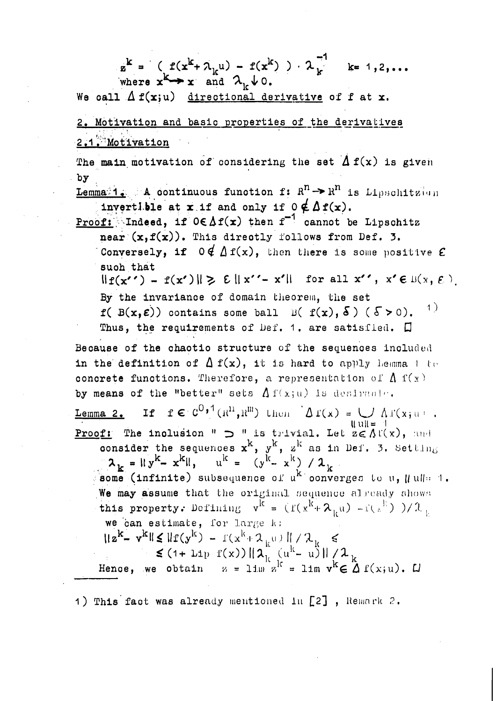$z^{k} = (f(x^{k} + \lambda_{k}u) - f(x^{k})) \cdot \lambda_{k}^{-1}$  k= 1,2,...<br>where  $x^{k} \rightarrow x$  and  $\lambda_{k} \downarrow 0$ . We call  $\Delta f(x;u)$  directional derivative of f at x. 2. Motivation and basic properties of the derivatives  $2.1$ . Motivation The main motivation of considering the set  $\Delta f(x)$  is given  $\mathbf{b} \mathbf{y}$ Lemma 1. A continuous function f:  $R^n \rightarrow R^n$  is Lipschitzion invertible at x if and only if  $0 \notin \Delta f(x)$ . **Proof:** Indeed, if  $0 \in \Delta f(x)$  then  $f^{-1}$  cannot be Lipschitz near  $(x, f(x))$ . This directly follows from Def. 3. Conversely, if  $0 \notin \Delta f(x)$ , then there is some positive  $\mathcal E$ such that  $\|f(x^{\prime\prime}) - f(x^{\prime})\| \ge \varepsilon \|x^{\prime\prime} - x^{\prime}\|$  for all  $x^{\prime\prime}$ ,  $x^{\prime} \in B(x, \varepsilon)$ By the invariance of domain theorem, the set  $-1)$  $f(B(x,\varepsilon))$  contains some ball  $B(f(x), \delta)$  ( $\delta > 0$ ). Thus, the requirements of Def. 1. are satisfied.  $\square$ Because of the chaotic structure of the sequences included in the definition of  $\Delta f(x)$ , it is hard to apply beging the concrete functions. Therefore, a representation of  $\Lambda$   $f(x)$ by means of the "better" sets  $\Delta f(x;u)$  is desireal ... If  $f \in C^{0,\{1\}}(\mathbb{R}^n,\mathbb{R}^m)$  then  $\Delta f(x) = \bigcup \Delta f(x)$ . Lemma<sub>2</sub>.  $\text{H}\text{u}\text{H} = -1$ **Proof:** The inclusion "  $\supset$  " is trivial. Let  $z \in \Lambda(\{x\})$ , and consider the sequences  $x^k$ ,  $y^k$ ,  $z^k$  as in Def. 3. Setting  $\lambda_k = ||y^k - x^k||$ ,  $u^k = (y^{k} - x^k) / \lambda_k$ <br>
some (infinite) subsequence of  $u^k$  converges to  $u$ ,  $||u|| = 1$ . We may assume that the original sequence already shows this property. Defining  $v^{\overline{k}} = (f(x^{\overline{k}} + \lambda_{i,\mu}) - i(x^{\overline{k}})) / 2$ we can estimate, for large k:  $||z^{k}-v^{k}|| \leq ||f(y^{k}) - f(x^{k} + \lambda_{k}u)|| / \lambda_{k}$ <br>  $\leq (1 + \text{Lip } f(x)) ||\lambda_{k} (u^{k} - u)|| / \lambda_{k}$ <br>
Hence, we obtain  $z = \lim_{k \to \infty} z^{k} = \lim_{k \to \infty} v^{k} \in \Delta f(x; u)$ .

1) This fact was already mentioned in [2], Remark 2.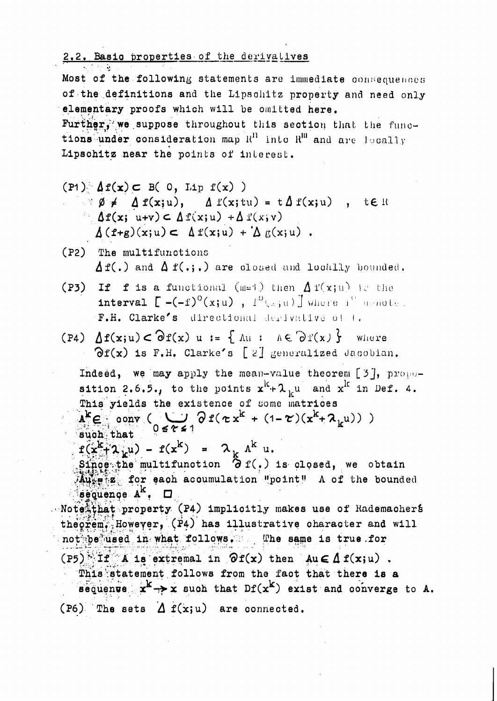2.2. Basic properties of the derivalives

Most of the following statements are immediate consequences of the definitions and the Lipschitz property and need only elementary proofs which will be omitted here. Further, we suppose throughout this section that the functions under consideration map  $R<sup>H</sup>$  into  $R<sup>H</sup>$  and are locally Lipschitz near the points of interest.

 $(P1)$   $\Delta f(x)$   $\subset$  B( 0, Lip f(x) )

- $\forall \emptyset \neq \Delta f(x; u), \Delta f(x; tu) = t \Delta f(x; u)$ , teR  $\Delta f(x; u+v) \subset \Delta f(x; u) + \Delta f(x; v)$  $\Delta(f+g)(x;u) \subset \Delta f(x;u) + \Delta g(x;u)$ .
- (P2) The multifunctions  $\Delta$  f(.) and  $\Delta$  f(.;.) are closed and locally bounded.
- (P3) If f is a functional (m=1) then  $\Delta f(x;u)$  is the interval  $\Gamma$  -(-f)<sup>o</sup>(x;u),  $T^0(\omega;u)$  J where i<sup>tt</sup> armode. F.H. Clarke's directional derivative of t.
- (P4)  $\Delta f(x; u) \subset \partial f(x)$  u := {  $\Delta u$  :  $\Delta \in \partial f(x)$ } where  $\partial f(x)$  is F.H. Clarke's [2] generalized Jacobian.

Indeed, we may apply the mean-value theorem [3], proposition 2.6.5., to the points  $x^{k}+ \lambda_{k}$ u and  $x^{k}$  in Def. 4. This yields the existence of some matrices  $A^k \in \text{conv} \left( \bigcup_{0 \leq \ell \leq 1} \partial f(\tau x^k + (1 - \tau)(x^k + \lambda_k u)) \right)$ 

 $s$ uch that

 $f(x^k+2\mu u) - f(x^k) = 2\mu h^k u.$ 

 $\mathbf{Sing}$  the multifunction  $\partial$  f(.) is closed, we obtain  $A$ ute  $z$  for each accumulation "point" A of the bounded sequence  $A^k$ .  $\Box$ 

Note that property (P4) implicitly makes use of Rademachers theorem. However, (P4) has illustrative character and will not be used in what follows. The same is true for

 $( P5)$  If A is extremal in  $\partial f(x)$  then  $Au \in \Delta f(x; u)$ .

This statement follows from the fact that there is a

sequenve  $x^k \rightarrow x$  such that  $Df(x^k)$  exist and converge to A. (P6) The sets  $\Delta f(x;u)$  are connected.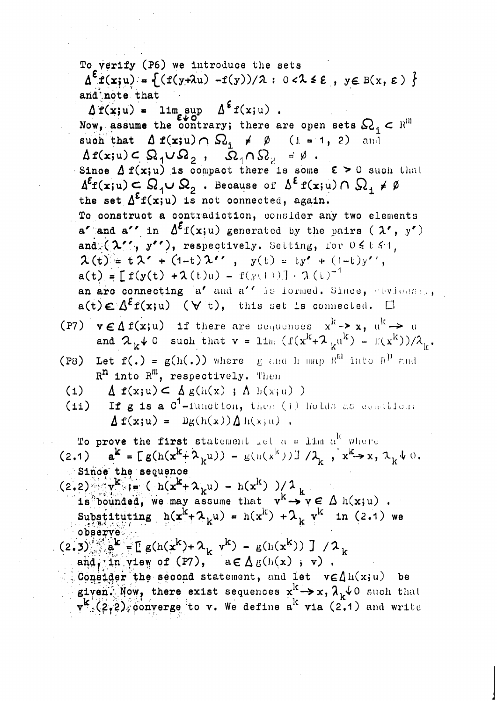To verify (P6) we introduce the sets  $\Delta^{\epsilon} f(x;u) = \{(f(y+\lambda u) - f(y))/\lambda : 0 < \lambda \leq \epsilon, y \in B(x, \epsilon) \}$ and note that

 $\Delta f(x;u) = \limsup_{\varepsilon \downarrow 0} \Delta^{\varepsilon} f(x;u)$ .<br>Now, assume the contrary; there are open sets  $\Omega_i \subset \mathbb{R}^m$ such that  $\Delta f(x;u) \cap \Omega_1 \neq \emptyset$  (i. = 1, 2) and  $\Delta f(x;u) \subset \Omega_1 \cup \Omega_2$ ,  $\overline{\Omega}_1 \cap \Omega_2 = \emptyset$ . Since  $\Delta f(x;u)$  is compact there is some  $\varepsilon > 0$  such that  $\Delta^{\epsilon}f(x; u) \subset \Omega_1 \cup \Omega_2$ . Because of  $\Delta^{\epsilon} f(x; u) \cap \Omega_1 \neq \emptyset$ the set  $\Delta^{\epsilon} f(x; u)$  is not connected, again. To construct a contradiction, consider any two elements a' and a'' in  $\Delta^{\mathcal{E}} f(x;u)$  generated by the pairs ( $\lambda$ ', y') and  $(\lambda'$ ,  $y'$ ), respectively. Setting, for  $0 \le t \le 1$ ,  $\lambda(t) = t \lambda' + (1-t) \lambda'$ ,  $y(t) = ty' + (1-t)y'$ ,  $a(t) = [ f(y(t) + \lambda(t)u) - f(y(t))] - \lambda(t)^{-1}$ an are connecting a' and a'' is formed. Since, ebvioust.,  $a(t) \in \Delta^{\epsilon} f(x; u)$  ( $\forall$  t), this set is connected.  $\Box$ 

- (P7)  $v \in \Delta f(x; u)$  if there are sequences  $x^k \rightarrow x$ ,  $u^k \rightarrow u$ and  $\lambda_k \downarrow 0$  such that  $v = \lim_{k \to \infty} (f(x^k + \lambda_{k})^{k}) = f(x^k)/\lambda_k$ .
- (P8) Let  $f(.) = g(h(.))$  where g and h map  $R^{m}$  into  $R^{p}$  and  $R^n$  into  $R^m$ , respectively. Then
	- (1)  $\Delta$   $f(x;u) \leq \Delta g(h(x) ; \Delta h(x;u))$
	- If g is a C<sup>1</sup>-function, then (1) holds as constion:  $(i)$  $\Delta f(x;u) = Dg(h(x))\Delta h(x;u)$ .

To prove the first statement let  $a = \text{lim } a^k$  where (2.1)  $a^{k} = E g(h(x^{k} + \lambda_{k}u)) - g(h(x^{k})) - \lambda_{k}$ ,  $x^{k} \rightarrow x, \lambda_{k} \rightarrow 0$ . Since the sequence

- $(2.2)$   $v^{k} := (h(x^{k} + \lambda_{k}u) h(x^{k}))/\lambda_{k}$ is bounded, we may assume that  $v^k \rightarrow v \in \Delta$  h(x;u). Substituting  $h(x^{k} + \lambda_k u) = h(x^{k}) + \lambda_k v^{k}$  in (2.1) we observe
- (2.3)  $a^k = [g(h(x^k) + \lambda_k v^k) g(h(x^k)) ] / \lambda_k$ and, in yiew of  $(PI)$ ,  $a \in \Delta g(h(x)$ , v).
	- Consider the second statement, and let  $v \in \Lambda h(x;u)$  be given. Now, there exist sequences  $x^k \rightarrow x$ ,  $\lambda_k \downarrow 0$  such that  $v^k$  (2,2), converge to v. We define a<sup>k</sup> via (2.1) and write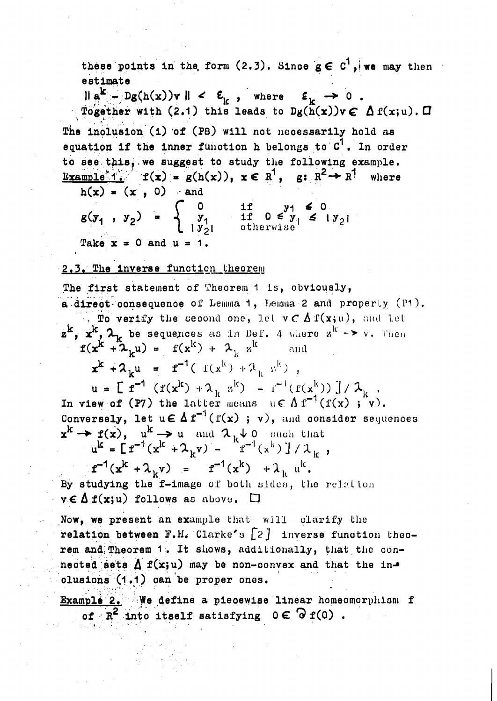these points in the form (2.3). Since  $g \in C^1$ , we may then estimate

 $\|\mathbf{a}^{\mathbf{k}} - \mathbf{b}(\mathbf{a}(\mathbf{x}))\mathbf{v}\| < \varepsilon_{\mathbf{k}}$ , where  $\varepsilon_{\mathbf{k}} \to 0$ . Together with (2.1) this leads to  $Dg(h(x))v \in \Delta f(x;u)$ .  $\Box$ 

The inclusion (i) of (P8) will not necessarily hold as equation if the inner function h belongs to  $C^1$ . In order to see this, we suggest to study the following example. Example 1.  $f(x) = g(h(x))$ ,  $x \in R^1$ ,  $g: R^2 \rightarrow R^1$ where

 $h(x) = (x, 0)$  and

 $g(y_1, y_2) = \begin{cases} 0 & \text{if } y_1 \leq 0 \\ y_1 & \text{if } 0 \leq y_1 \leq 1 \\ y_2 & \text{otherwise} \end{cases}$ Take  $x = 0$  and  $u = 1$ .

# 2.3. The inverse function theorem

The first statement of Theorem 1 is, obviously, a direct consequence of Lemma 1, Lemma 2 and property (P1). To verify the second one, let  $v \in \Delta f(x; u)$ , and let  $\mathbf{z}^{\mathbf{k}}$ ,  $\mathbf{x}^{\mathbf{k}}$ ,  $\mathbf{\lambda}_{\mathbf{k}}$  be sequences as in Def. 4 where  $\mathbf{z}^{\mathbf{k}}$  ->  $\mathbf{v}$ . Then  $f(x^{k} + \lambda_{k} u) = f(x^{k}) + \lambda_{k} u^{k}$ and  $x^{k} + \lambda_{k} u = r^{-1} (f(x^{k}) + \lambda_{k} u^{k})$  $u = \int_{0}^{\infty} f(x^k) + \lambda_k x^k - t^{-1} (f(x^k)) \int_{0}^{t} \lambda_k$ .<br>In view of (P7) the latter means  $u \in \Lambda f^{-1}(f(x) ; v)$ . Conversely, let  $u \in \Delta f^{-1}(f(x); v)$ , and consider sequences  $x^{k} \rightarrow f(x), u^{k} \rightarrow u$  and  $\lambda_{k} \downarrow 0$  such that<br>  $u^{k} = [f^{-1}(x^{k} + \lambda_{k}v) - f^{-1}(x^{k})]/\lambda_{k}$ ,  $f^{-1}(x^{k} + \lambda_{k}v) = f^{-1}(x^{k}) + \lambda_{k} u^{k}$ . By studying the f-image of both sides, the relation

 $v \in \Delta f(x; u)$  follows as above.  $\square$ 

Now, we present an example that will clarify the relation between  $F.H.$  Clarke's  $\begin{bmatrix} 2 \\ 1 \end{bmatrix}$  inverse function theorem and Theorem 1. It shows, additionally, that the connected sets  $\Delta$  f(x;u) may be non-convex and that the inclusions (1.1) can be proper ones.

Example 2. We define a piecewise linear homeomorphism f of  $R^2$  into itself satisfying  $0 \in \partial f(0)$ .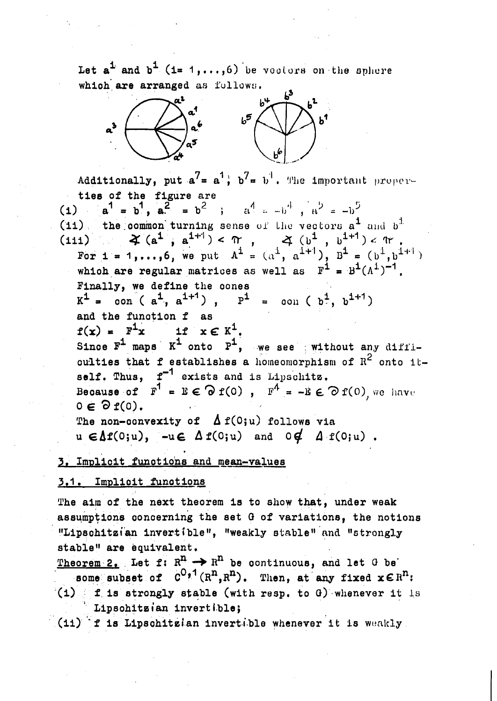Let  $a^{\frac{1}{2}}$  and  $b^{\frac{1}{2}}$  (1= 1,...,6) be vootors on the sphere which are arranged as follows.



Additionally, put  $a^7 = a^1$ ,  $b^7 = b^1$ . The important properties of the figure are (1)  $a^1 = b^1$ ,  $a^2 = b^2$  ;  $a^4 = -b^4$ ,  $a^3 = -b^5$ (11) the common turning sense of the vectors  $a^1$  and  $b^1$ . 11)  $\mathcal{L}(a^1, a^{1+1}) < \pi$ ,  $\mathcal{L}(b^1, b^{1+1}) < \pi$ .<br>
For  $1 = 1, ..., 6$ , we put  $A^1 = (a^1, a^{1+1}), B^1 = (b^1, b^{1+1})$ <br>
which are regular matrices as well as  $F^1 = B^1(A^1)^{-1}$ .  $(111)$ Finally, we define the cones  $K^1$  = con (a<sup>1</sup>, a<sup>1+1</sup>),  $F^1$  = con (b<sup>1</sup>, b<sup>1+1</sup>) and the function f as  $f(x) = F^1x$  if  $x \in K^1$ . Since  $F^1$  maps  $K^1$  onto  $F^1$ , we see without any diffioulties that f establishes a homeomorphism of  $R^2$  onto itself. Thus,  $f^{-1}$  exists and is Lipschitz. Because of  $\mathbf{F}^1 = \mathbf{E} \in \mathcal{D} \mathbf{f}(0)$ ,  $\mathbf{F}^4 = -\mathbf{E} \in \mathcal{D} \mathbf{f}(0)$ , we have  $0 \in \partial f(0)$ . The non-convexity of  $\Delta f(0;u)$  follows via  $u \in \Delta f(0;u)$ ,  $-u \in \Delta f(0;u)$  and  $0 \notin \Delta f(0;u)$ .

3. Implicit functions and mean-values

# 3.1. Implicit functions

The aim of the next theorem is to show that, under weak assumptions concerning the set G of variations, the notions "Lipschitzian invertible", "weakly stable" and "strongly stable" are equivalent.

Theorem 2. Let f:  $R^n \rightarrow R^n$  be continuous, and let G be some subset of  $C^{0,1}(R^n,R^n)$ . Then, at any fixed  $x \in R^n$ :  $f(t)$  f is strongly stable (with resp. to G) whenever it is Lipschitzian invertible;

(11) f is Lipschitzian invertible whenever it is weakly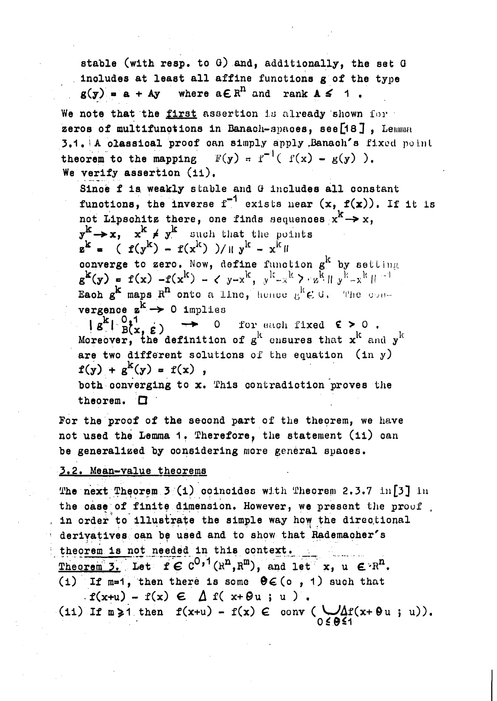stable (with resp. to G) and, additionally, the set G includes at least all affine functions g of the type  $g(y) = a + Av$  where  $a \in \mathbb{R}^n$  and rank  $A \leq 1$ .

We note that the first assertion is already shown for zeros of multifunctions in Banach-spaces, see [18], Lemma 3.1. A classical proof can simply apply Banach's fixed point theorem to the mapping  $F(y) = f^{-1}(f(x) - g(y))$ . We verify assertion (ii).

Since f is weakly stable and G includes all constant functions, the inverse  $f^{-1}$  exists near  $(x, f(x))$ . If it is not Lipschitz there, one finds sequences  $x^k \rightarrow x$ ,  $y^k \rightarrow x$ ,  $x^k \neq y^k$  such that the points  $z^{k}$  =  $(f(y^{k}) - f(x^{k}))/||y^{k} - x^{k}||$ 

converge to zero. Now, define function  $g^k$  by setting  $g^{k}(y) = f(x) - f(x^{k}) - \zeta y - x^{k}, y^{k} - x^{k} - y^{k} - x^{k} \| y^{k} - x^{k} \|^{-1}$ Each  $g^k$  maps  $R^n$  onto a line, hence  $g^k \in U$ . The convergence  $z^k \rightarrow 0$  implies

 $\overline{g}^k \left( \begin{array}{cc} 0,1 \\ B(x, \varepsilon) \end{array} \right)$ 0 for each fixed  $\epsilon > 0$ . Moreover, the definition of  $g^k$  ensures that  $x^k$  and  $y^k$ are two different solutions of the equation  $(in y)$  $f(y) + g^{k}(y) = f(x)$ ,

both converging to x. This contradiction proves the theorem.  $\square$ 

For the proof of the second part of the theorem, we have not used the Lemma 1. Therefore, the statement (11) can be generalized by considering more general spaces.

#### 3.2. Mean-value theorems

The next Theorem 3 (1) coincides with Theorem 2.3.7 in [3] in the case of finite dimension. However, we present the proof in order to illustrate the simple way how the directional derivatives can be used and to show that Rademacher's theorem is not needed in this context. Theorem 3. Let  $f \in C^{0,1}(\mathbb{R}^n, \mathbb{R}^m)$ , and let  $x, u \in \mathbb{R}^n$ . (1) If  $m=1$ , then there is some  $\Theta \in (0, 1)$  such that  $\texttt{f}(x+u) - \texttt{f}(x) \in \Lambda \texttt{f}(x+\theta u; u).$ (11) If  $m \ge 1$  then  $f(x+u) - f(x) \in \text{conv} \left( \bigcup_{0 \le \theta \le 1} \Delta f(x+\theta u; u) \right)$ .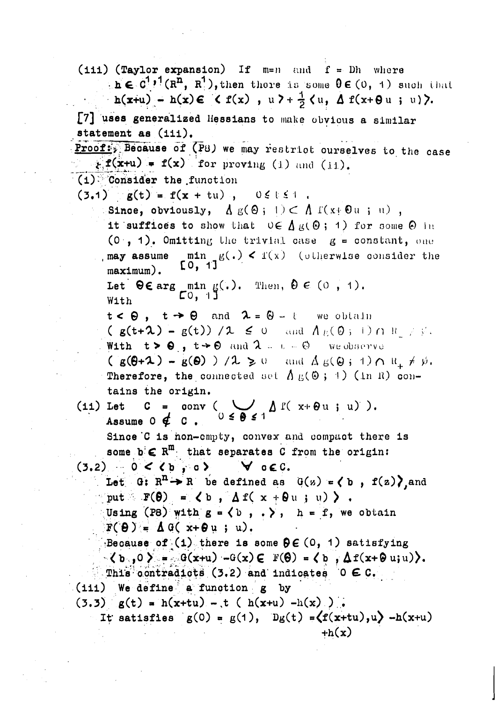(iii) (Taylor expansion) If  $m=n$  and  $f = Dh$  where  $h \in C^1$ ,  $(1, \bar{n}, \bar{n}')$ , then there is some  $0 \in (0, 1)$  such that  $h(x+u) - h(x) \in \langle f(x) , u \rangle + \frac{1}{2} \langle u, \Delta f(x+\Theta u ; u) \rangle.$ [7] uses generalized Hessians to make obvious a similar statement as (iii). Proof: Because of (P8) we may restrict ourselves to the case  $f(x+u) = f(x)$  for proving (1) and (ii).  $(1)$  Consider the function  $(3.1)$   $g(t) = f(x + tu)$ ,  $0 \le t \le 1$ . Since, obviously,  $\Lambda g(\Theta; 1) \subset \Lambda f(x; \Theta u; u)$ , it suffices to show that  $0 \in \Lambda_K(\Theta; 1)$  for some  $\Theta$  in  $(0, 1)$ . Omitting the trivial case  $g =$  constant, one may assume  $\min_{x \in [0, 1]} g(x) < f(x)$  (otherwise consider the  $maximum$ ). Let  $\Theta \in \arg \min_{\begin{bmatrix} C_0, C_1 \\ C_1, C_2 \end{bmatrix}} g(.)$ . Then,  $\Theta \in (0, 1)$ . With  $t < \Theta$ ,  $t \rightarrow \Theta$  and  $\lambda = \Theta - t$  we obtain  $(g(t+2) - g(t)) / 2 \leq 0$  and  $A_E(0, 1) \cap R \neq \emptyset$ . With  $t > 0$ ,  $t \rightarrow 0$  and  $\lambda = t = 0$  we observe  $(g(\theta + 1) - g(\theta)) / 1 \ge 0$  and  $\Delta g(\theta + 1) \cap R_+ \ne \emptyset$ . Therefore, the connected set  $\Lambda_E(\omega; +)$  (in R) contains the origin. C = conv ( $\bigcup_{0 \le \theta \le 1} \Delta f(x + \theta u; u)$ ).  $(i1)$  Let Assume  $0 \notin C$ . Since C is non-empty, convex and compact there is some  $b \in R^m$  that separates C from the origin:  $(3.2)$  0 < (b) 0  $\forall$  occ. Let G:  $R^n \rightarrow R$  be defined as  $G(z) = (b, f(z))$  and put  $F(\theta) = \langle b, \Delta f(x + \theta u, u) \rangle$ . Using (P8) with  $g = \langle b, \cdot, \cdot \rangle$ ,  $h = f$ , we obtain  $F(\theta) = \Delta G(x+\theta u; u).$ Because of (i) there is some  $\theta \in (0, 1)$  satisfying  $\langle b_0, 0 \rangle = \partial G(x+u) - G(x) \in \mathbb{F}(\Theta) = \langle b_0, \Delta f(x+\Theta u;u) \rangle.$ This contradicts (3.2) and indicates  $0 \in C$ . (iii) We define a function g by  $(3.3)$  g(t) = h(x+tu) - t ( h(x+u) -h(x) ). It satisfies  $g(0) = g(1)$ ,  $Dg(t) = \langle f(x+tu), u \rangle - h(x+u)$  $+h(x)$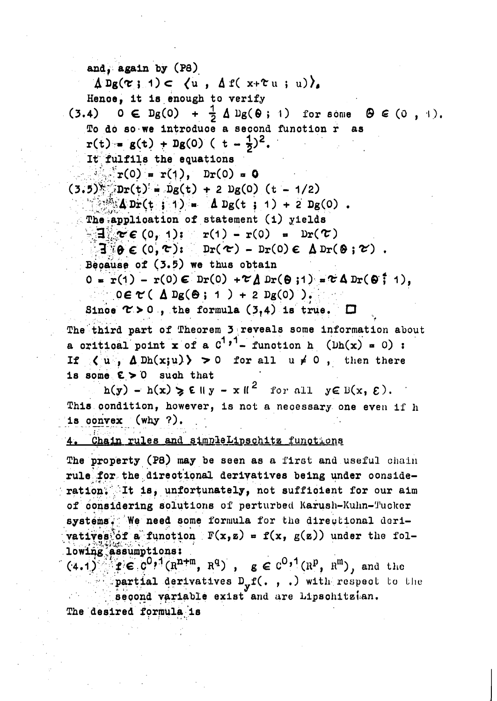and, again by (P8)  $\Delta$  Dg( $\tau$ ; 1)  $\subset$   $\langle u, \Delta f(x+\tau u; u) \rangle$ . Hence, it is enough to verify  $(3.4)$   $0 \in D_g(0) + \frac{1}{2} \Delta D_g(0)$ ; 1) for some  $\Theta \in (0, 1)$ . To do so we introduce a second function r as  $r(t) = g(t) + Dg(0)$  (  $t - \frac{1}{2}$ )<sup>2</sup>. It fulfils the equations  $\sum_{i=1}^{n} r(0) = r(1)$ ,  $Dr(0) = 0$  $(3.5)$   $\sqrt{Dr(t)} = Dg(t) + 2 Dg(0)$  (t - 1/2)  $\frac{1}{2}$   $\frac{1}{2}$   $\frac{1}{2}$   $\frac{1}{2}$   $\frac{1}{2}$   $\frac{1}{2}$   $\frac{1}{2}$   $\frac{1}{2}$   $\frac{1}{2}$   $\frac{1}{2}$   $\frac{1}{2}$   $\frac{1}{2}$   $\frac{1}{2}$   $\frac{1}{2}$   $\frac{1}{2}$   $\frac{1}{2}$   $\frac{1}{2}$   $\frac{1}{2}$   $\frac{1}{2}$   $\frac{1}{2}$   $\frac{1}{2}$   $\frac{1}{2}$  The application of statement (i) yields  $\mathbf{E} = \mathbf{r} \cdot \mathbf{r} \cdot \mathbf{r} \cdot \mathbf{r} \cdot \mathbf{r} \cdot \mathbf{r} \cdot \mathbf{r} \cdot \mathbf{r} \cdot \mathbf{r} \cdot \mathbf{r} \cdot \mathbf{r} \cdot \mathbf{r} \cdot \mathbf{r} \cdot \mathbf{r} \cdot \mathbf{r} \cdot \mathbf{r} \cdot \mathbf{r} \cdot \mathbf{r} \cdot \mathbf{r} \cdot \mathbf{r} \cdot \mathbf{r} \cdot \mathbf{r} \cdot \mathbf{r} \cdot \mathbf{r} \cdot \mathbf{r} \cdot \mathbf{r} \cdot \mathbf{r$  $\exists \theta \in (0, \infty)$ :  $\text{pr}(\infty)$  -  $\text{pr}(0) \in \Delta \text{pr}(\theta; \infty)$ . Because of (3.5) we thus obtain  $0 = r(1) - r(0) \in Dr(0) + \mathcal{L} \Delta Dr(\Theta;1) = \mathcal{L} \Delta Dr(\Theta;1),$  $0 \in \mathcal{C}$  (  $\Delta$  Dg( $\Theta$ ; 1 ) + 2 Dg(0) ). Since  $\tau > 0$ , the formula (3,4) is true.  $\square$ 

The third part of Theorem 3 reveals some information about a critical point x of a  $C^{1}$ ,<sup>1</sup>- function h ( $lh(x) = 0$ ) : If  $\langle u, \Delta Dh(x;u) \rangle > 0$  for all  $u \neq 0$ , then there is some  $E > 0$  such that

 $h(y) - h(x) \ge \varepsilon ||y - x||^2$  for all  $y \in B(x, \varepsilon)$ . This condition, however, is not a necessary one even if h is convex  $(why ?)$ .

# 4. Chain rules and simpleLipschitz functions

The property (P8) may be seen as a first and useful chain rule for the directional derivatives being under consideration. It is, unfortunately, not sufficient for our aim of considering solutions of perturbed Karush-Kuhn-Tucker systems. We need some formula for the directional derivatives of a function  $F(x, z) = f(x, g(z))$  under the following assumptions:

 $(4.1)^{1/2} f \in [c^0, 1(R^{n+m}, R^q), g \in c^0, 1(R^p, R^m),$  and the partial derivatives  $D_y f($ , , .) with respect to the second variable exist and are Lipschitzian. The desired formula is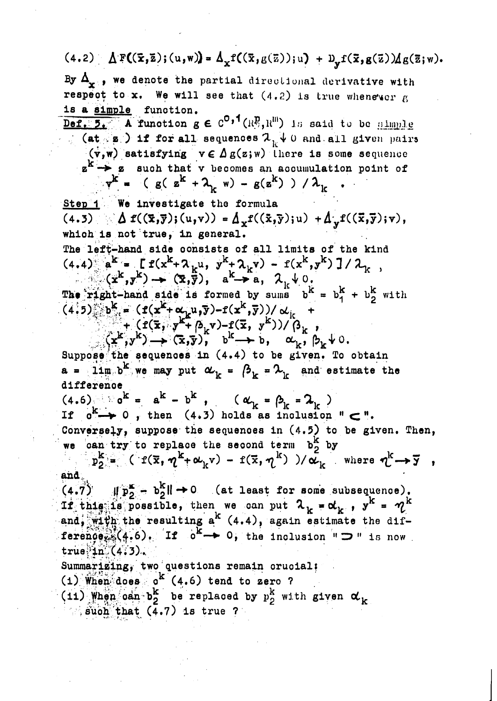# $(4.2) \Delta F((\bar{x}, \bar{z}); (u, w)) = \Delta_x f((\bar{x}, g(\bar{z})); u) + D_y f(\bar{x}, g(\bar{z})) \Delta g(\bar{z}; w).$

By  $\Delta_{\mathbf{x}}$ , we denote the partial directional derivative with respect to x. We will see that  $(4.2)$  is true whenever  $g$ is a simple function.

Def. 5. A function  $g \in C^{0,1}(\mathbb{R}^p, \mathbb{R}^m)$  is said to be simple (at  $\mathbf{z}$ ) if for all sequences  $\lambda_{\mathbf{u}} \downarrow 0$  and all given pairs  $(v, w)$  satisfying  $v \in \Delta g(z; w)$  there is some sequence  $z^k \rightarrow z$  such that v becomes an accumulation point of  $v^{k} = (g(x^{k} + \lambda_{k} w) - g(z^{k}))/\lambda_{k}$ 

Step 1 We investigate the formula  $(4.3) \triangle f((\bar{x}, \bar{y}); (u, v)) = \Delta_x f((\bar{x}, \bar{y}); u) + \Delta_y f((\bar{x}, \bar{y}); v),$ which is not true, in general. The left-hand side consists of all limits of the kind  $(4.4)$   $a^{k} = [f(x^{k} + \lambda_{k}u, y^{k} + \lambda_{k}v) - f(x^{k}, y^{k})]/\lambda_{k}$ ,<br>  $(x^{k}, y^{k}) \rightarrow (\overline{x}, \overline{y}), a^{k} \rightarrow a, \lambda_{k} \downarrow 0$ .<br>
The right-hand side is formed by sums  $b^{k} = b_{1}^{k} + b_{2}^{k}$  with  $(4.5)$   $b^k = (f(x^k + \alpha_k u, \overline{y}) - f(x^k, \overline{y})) / \alpha_k + (f(\overline{x}, y^k + \beta_k v) - f(\overline{x}, y^k)) / (\beta_k,$ <br>  $\rightarrow (x^k, y^k) \rightarrow (\overline{x}, \overline{y})$ ,  $b^k \rightarrow b$ ,  $\alpha_k, \beta_k \rightarrow 0$ .<br>
Suppose the sequences in (4.4) to be given. To obtain

 $a = 11m$  b<sup>k</sup> we may put  $\alpha_k = \beta_k = \lambda_k$  and estimate the difference

 $(4.6)$   $a^{k} = a^{k} - b^{k}$ ,  $(\alpha_{k} = \beta_{k} = \lambda_{k})$ If  $o^k \rightarrow o$ , then  $(4.3)$  holds as inclusion "  $\subset$  ". Conversely, suppose the sequences in (4.5) to be given. Then, we can try to replace the second term  $b_2^k$  by

 $p_2^k = (f(\overline{x}, \eta^k + \omega_k v) - f(\overline{x}, \eta^k)) / \tilde{\omega_k}$  where  $\eta^k \rightarrow \overline{y}$ , and.

 $(4.7)$   $\parallel p_2^k - b_2^k \parallel \rightarrow 0$  (at least for some subsequence).<br>If this is possible, then we can put  $\lambda_k = \alpha_k$ ,  $y^k = \gamma_k^k$ and, with the resulting  $a^{k}$  (4.4), again estimate the difference  $(4.6)$ . If  $o^{k} \rightarrow 0$ , the inclusion "  $\supset$  " is now  $true$   $in (4.3)$ .

Summarizing, two questions remain crucial;  $(1)$  When does  $0^k$   $(4.6)$  tend to zero ?

(11) When oan  $b_2^k$  be replaced by  $p_2^k$  with given  $\alpha_k$ 

 $\therefore$  such that  $(4.7)$  is true ?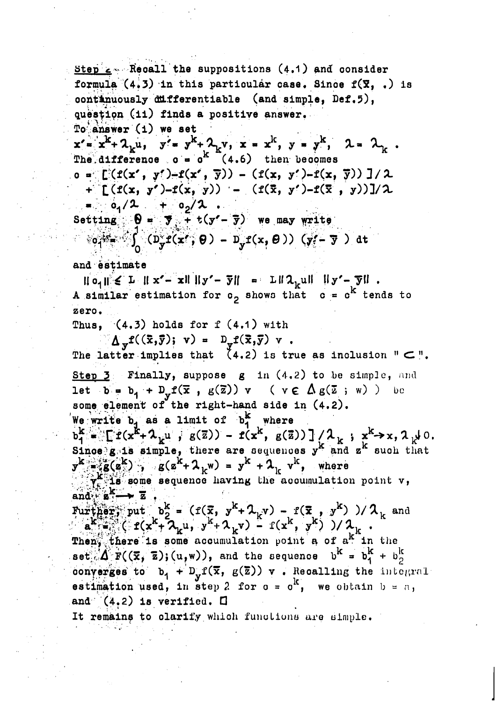Step  $\leq$  Recall the suppositions (4.1) and consider formula  $(4.3)$  in this particular case. Since  $f(\bar{x}, .)$  is continuously differentiable (and simple, Def.5), question (11) finds a positive answer.  $To$  answer  $(1)$  we set  $x' = x^{k} + \lambda_k u$ ,  $y' = y^{k} + \lambda_k v$ ,  $x = x^{k}$ ,  $y = y^{k}$ ,  $\lambda = \lambda_k$ .<br>The difference  $o = o^{k}$  (4.6) then becomes  $o = [((f(x', y'))-f(x', \overline{y})) - (f(x, y')-f(x, \overline{y}))]/2$ +  $\Gamma(f(x, y'))-f(x, y))$  -  $(f(\bar{x}, y'))-f(\bar{x}, y))]/\lambda$  $= 0, 2 + 0, 2$ . Setting  $\Theta = \overline{y} - \overline{t}$  t(y'- $\overline{y}$ ) we may write  $\circ \circ \circ \circ \circ'$  ( $D_y^2 f(x', \theta) - D_y f(x, \theta)$ ) (y'  $\overline{y}$ ) at and estimate  $||o_1|| \le L ||x'-x|| ||y'-\overline{y}|| = L||\lambda_k u|| ||y'-\overline{y}||.$ A similar estimation for  $o_2$  shows that  $o = o^k$  tends to zero. Thus,  $(4.3)$  holds for  $f(4.1)$  with  $\Delta_{\mathbf{v}} f((\bar{x}, \bar{y}); \mathbf{v}) = D_{\mathbf{v}} f(\bar{x}, \bar{y}) \mathbf{v}$ . The latter implies that  $(4.2)$  is true as inclusion "  $\subset$  ". Step  $\mathbf{Z}$ : Finally, suppose  $g$  in  $(4.2)$  to be simple, and let  $b = b_1 + D_v f(\bar{x}, g(\bar{z})) v$  ( $v \in \Delta g(\bar{z}, w)$ ) be some element of the right-hand side in (4.2). We write  $b_1$  as a limit of  $b_1^k$  where  $b_1^k = \left[ f(x^k + \lambda_k u, g(z)) - f(x^k, g(z)) \right] / \lambda_k, x^k \to x, \lambda_k \downarrow 0.$ Since  $g$  is simple, there are sequences  $y^k$  and  $z^k$  such that  $y^k = \frac{1}{2}(\mathbf{g}(\mathbf{z}^k)), \quad \mathbf{g}(\mathbf{z}^k + \lambda_k w) = y^k + \lambda_k v^k, \quad \text{where}$  $\gamma_{k}^{K}$  is some sequence having the accumulation point v, and  $\mathbf{z} \rightarrow \mathbf{z}$ Further, put  $b_2^k = (f(\bar{x}, y^k + \lambda_k v) - f(\bar{x}, y^k) )/\lambda_k$  and  $a^k = (f(x^k + \lambda_k v) - f(x^k, y^k) )/\lambda_k$ . Then, there is some accumulation point a of a<sup>k</sup> in the set  $\mathbf{A}^{\mathbf{K}}$   $\mathbf{F}((\overline{\mathbf{x}}, \overline{\mathbf{z}}); (u, w)),$  and the sequence  $\mathbf{b}^{\mathbf{K}} = \mathbf{b}^{\mathbf{K}}_1 + \mathbf{b}^{\mathbf{K}}_2$ converges to  $b_1 + D_y f(\overline{x}, g(\overline{z}))$  v. Recalling the integral estimation used, in step 2 for  $o = o^k$ , we obtain  $b = a$ , and  $(4.2)$  is verified.  $\Box$ It remains to clarify which functions are simple.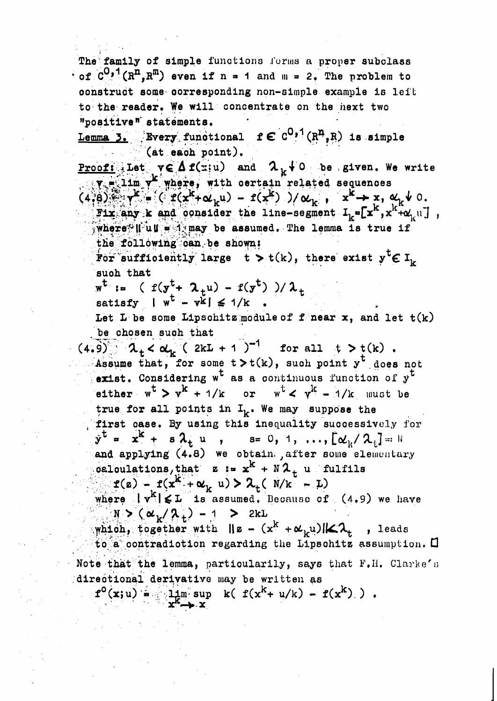The family of simple functions forms a proper subclass  $\cdot$  of  $C^{0,1}(R^{n},R^{m})$  even if n = 1 and m = 2. The problem to construct some corresponding non-simple example is leit to the reader. We will concentrate on the next two "positive" statements.

Lemma 3. Every functional  $f \in C^{0,1}(\mathbb{R}^n, \mathbb{R})$  is simple (at each point).

**Proof:** Let  $v \in \Delta$  f(x;u) and  $\lambda_k$  + 0 be given. We write  $\overline{v}$  = 11m  $v^k$  where, with certain related sequences<br>(4,8)  $v^k = (r^k + \alpha_k u) - r(x^k)$  )/ $\alpha_k$ ,  $x^k \rightarrow x$ ,  $\alpha_k v$  0. Fix any k and consider the line-segment  $I_{L} = [x^{k}, x^{k+1}, x^{k}$ ,  $\frac{1}{4}$  where it ull = 1 may be assumed. The lemma is true if the following can be shown:

For sufficiently large  $t > t(k)$ , there exist  $y^t \in I_k$ such that

 $\overline{w^{t}} := (f(y^{t} + \lambda_{+}u) - f(y^{t}))/\lambda_{t}$ satisfy  $|w^t - w^k| \leq 1/k$ 

Let L be some Lipschitz module of f near  $x$ , and let  $t(k)$ be chosen such that

 $(4.9)$   $\lambda_t < \alpha_k$  (2kL + 1)<sup>-1</sup> for all t > t(k).<br>Assume that, for some t > t(k), such point y<sup>t</sup> does not exist. Considering  $w^t$  as a continuous function of  $y^t$ either  $w^t > v^k + 1/k$  or  $w^t < y^k - 1/k$  must be true for all points in  $I_k$ . We may suppose the first case. By using this inequality successively for  $\dot{y}^{\dagger} = x^{k} + s \lambda_{t} u$ ,  $s = 0, 1, ..., [\alpha_{k}/\lambda_{t}] = N$ and applying (4.8) we obtain , after some elementary oaloulations, that  $z := x^{k} + N \lambda_{+}$  u fulfils  $f(z) - f(x^k + \alpha_k u) > \lambda_t (N/k - L)$ 

where  $\|\mathbf{v}^k\| \leqslant L$  is assumed. Because of (4.9) we have  $N > (\alpha_k / \lambda_+) - 1 > 2kL$ 

which, together with  $\|\mathbf{z} - (x^k + \alpha_k u)\| \leq \lambda_k$ , leads to a contradiction regarding the Lipschitz assumption.  $\square$ Note that the lemma, particularily, says that F.H. Clarke's directional derivative may be written as

 $f^{0}(x;u) = \frac{1}{2}m$  sup k(  $f(x^{k}+u/k) - f(x^{k})$  ).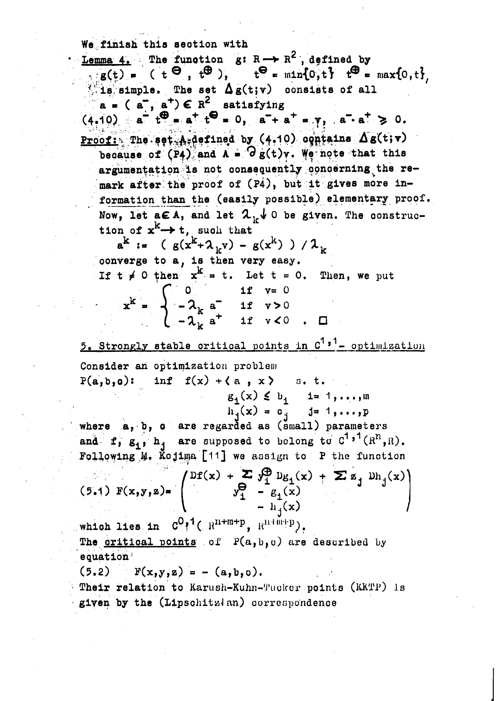We finish this section with

**Lemma 4.** The function g:  $R \rightarrow R^2$ , defined by  $\frac{1}{\log(t)} =$  (t  $\Theta$ ,  $t\Theta$ ),  $t\Theta = \min\{0, t\}$   $t\Theta = \max\{0, t\}$ its simple. The set  $\Delta g(t; v)$  consists of all  $a = (a^-, a^+) \in R^2$  satisfying  $(4,10)$   $a^{-1}t^{\oplus} = a^{+}t^{\ominus} = 0$ ,  $a^{-}+a^{+} = y$ ,  $a^{-} \cdot a^{+} \ge 0$ . Proof: The set A defined by (4.10) ogniains  $\Delta$ s(t;v) because of  $(P_4)$  and  $A = O_B(t)v$ . We note that this argumentation is not consequently concerning the remark after the proof of (P4), but it gives more information than the (easily possible) elementary proof. Now, let  $a \in A$ , and let  $\lambda_1 \downarrow 0$  be given. The construction of  $x^k \rightarrow t$ , such that  $a^{k}$  :=  $(g(x^{k}+ \lambda_{k}v) - g(x^{k}))/\lambda_{k}$ converge to a, is then very easy. If  $t \neq 0$  then  $x^k = t$ . Let  $t = 0$ . Then, we put  $x^{k} = \begin{cases} 0 & \text{if } v=0 \\ -\lambda_{k} a^{+} & \text{if } v > 0 \\ -\lambda_{k} a^{+} & \text{if } v < 0 \end{cases}$  $\Box$ 5. Strongly stable critical points in C<sup>1,1</sup>- optimization Consider an optimization problem inf  $f(x) + \langle a, x \rangle$  s.t.  $P(a, b, o)$ :  $g_1(x) \leq b_1$  1= 1,..., m where a, b, o are regarded as (small) parameters and f,  $g_1$ ,  $h_1$  are supposed to belong to  $C^1$ ,  $($ R<sup>n</sup>, R). Following M. Kojima [11] we assign to P the function (5.1)  $F(x,y,z) = \begin{pmatrix} DF(x) + \sum y_1^{\Theta} Dg_1(x) + \sum z_j Dh_j(x) \\ y_1^{\Theta} - g_1(x) \\ - h_j(x) \end{pmatrix}$ which lies in  $C^{0,1}$  ( $R^{n+m+p}$ ,  $R^{n+m+p}$ ). The <u>critical points</u> of  $P(a, b, c)$  are described by equation  $F(x,y,z) = - (a,b,0).$  $(5.2)$ Their relation to Karush-Kuhn-Tucker points (KKTP) is given by the (Lipschitzlan) correspondence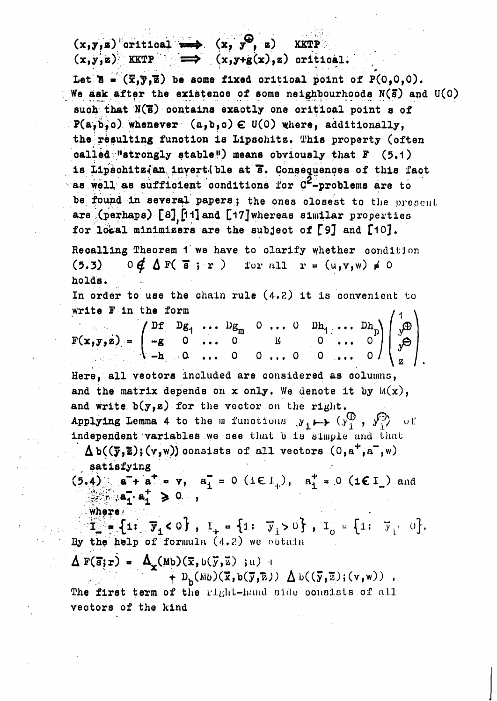$(x,y,z)$  oritical  $\longrightarrow$   $(x, y^{\mathcal{Q}}, z)$  KKTP  $(x,y,z)$  KKTP  $\implies$   $(x,y+g(x),z)$  oritical.

Let  $\overline{B} = (\overline{x}, \overline{y}, \overline{z})$  be some fixed critical point of  $P(0, 0, 0)$ . We ask after the existence of some neighbourhoods  $N(\bar{s})$  and  $U(0)$ such that N(B) contains exactly one critical point s of  $P(a, b, c)$  whenever  $(a, b, c) \in U(0)$  where, additionally, the resulting function is Lipschitz. This property (often called "strongly stable") means obviously that  $F$  (5.1) is Lipschitzian invertible at 3. Consequences of this fact as well as sufficient conditions for  $C^2$ -problems are to be found in several papers; the ones closest to the present are (perhaps) [8] [11] and [17] whereas similar properties for local minimizers are the subject of [9] and [10].

Recalling Theorem 1 we have to olarify whether condition  $0 \notin \Delta F(\overline{s}; r)$  for all  $r = (u,v,w) \neq 0$  $(5.3)$ holds.

In order to use the chain rule  $(4.2)$  it is convenient to write F in the form

 $F(x,y,z) = \begin{pmatrix} Df & Dg_1 & \cdots & Dg_m & 0 & \cdots & 0 & Dh_1 & \cdots & Dh_p \\ -g & 0 & \cdots & 0 & g & 0 & \cdots & 0 \\ -h & 0 & \cdots & 0 & 0 & \cdots & 0 & 0 \end{pmatrix} \begin{pmatrix} 1 \\ y \\ y \end{pmatrix}$ 

Here, all veotors included are considered as columns, and the matrix depends on x only. We denote it by  $M(x)$ , and write  $b(y,z)$  for the vector on the right. Applying Lemma 4 to the m functions  $y_1 \mapsto (y_1^{\oplus}, y_1^{\ominus})$  of independent variables we see that b is simple and that

 $\Delta b((\overline{y},\overline{z});(v,w))$  consists of all vectors  $(0,a^+,a^-,w)$ satisfying

 $(5.4)$  a<sup>+</sup> a<sup>+</sup> = v, a<sub>1</sub><sup>=</sup> 0 (ie 1<sub>+</sub>), a<sub>1</sub><sup>+</sup> = 0 (ie 1) and  $\mathbb{R}^n$ ,  $a_1^- \cdot a_1^+ \geq 0$ ,

 $\mathbb{T}_{\bullet} = \{1: \overline{y}_1 < 0\}$ ,  $\mathbb{T}_{+} = \{1: \overline{y}_1 > 0\}$ ,  $\mathbb{T}_{0} = \{1: \overline{y}_1 = 0\}$ .<br>By the help of formula (4.2) we obtain

$$
\Delta F(\vec{s}; r) = \Delta_{\mathbf{x}}(Mb)(\vec{x}, b(\vec{y}, \vec{z}) |_{\mathbf{H}})
$$

where.

+  $D_b(Mu)(\overline{x}, b(\overline{y}, \overline{z})) \Delta b((\overline{y}, \overline{z}); (v, w))$ ,

The first term of the right-hand side consists of all vectors of the kind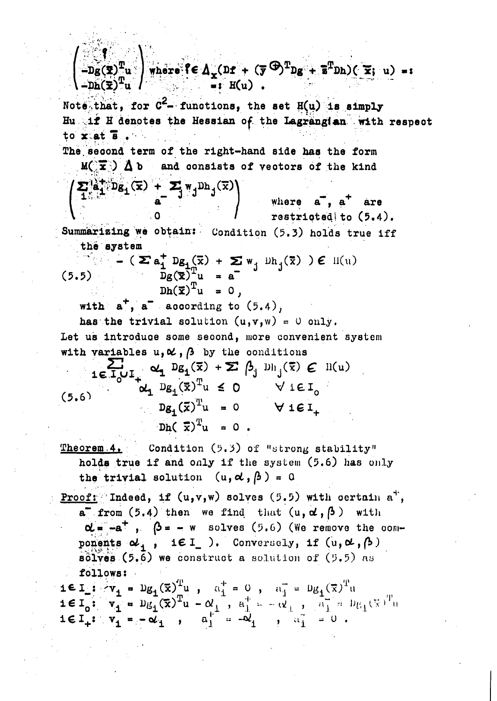$\left(-\widetilde{\text{Dg}}(\overline{\textbf{x}})^{\text{T}}\textbf{u}\right)$  where  $\left\{\in \Delta_{\textbf{x}}(\texttt{Df} + (\overline{\textbf{y}}^{\texttt{(D)}})^{\text{T}}\texttt{Dg} + \overline{\textbf{s}}^{\text{T}}\texttt{Dh})(\overline{\textbf{x}}; \textbf{u}) = \textbf{0}$  $\overline{=}:\mathbb{H}(\mathfrak{u})$ . Note that, for  $C^2$ - functions, the set  $H(u)$  is simply Hu if H denotes the Hessian of the Lagrangian with respect to  $x$  at  $\overline{8}$ . The second term of the right-hand side has the form  $M(\mathbf{\overline{x}})$   $\Delta$  b and consists of vectors of the kind  $\left(\sum_{1}^{a} \frac{a}{1} \cdot Dg_1(\overline{x}) + \sum_{a}^{b} \frac{1}{a} \cdot Dh_j(\overline{x})\right)$ where a, a<sup>+</sup> are restricted to (5.4). Summarizing we obtain: Condition (5.3) holds true iff the system -  $(\sum a_j^+ Dg_j(\overline{x}) + \sum w_j^+ Dh_j(\overline{x}) ) \in H(u)$ <br> $Dg(\overline{x})^T_u = a$  $(5.5)$  $Dh(\vec{x})^T u = 0$ , with  $a^+$ ,  $a^-$  according to  $(5.4)$ , has the trivial solution  $(u, v, w) = 0$  only. Let us introduce some second, more convenient system with variables  $u_1 \alpha$ ,  $\beta$  by the conditions  $\sum_{\mathbf{i} \in \mathbb{I}_{\mathcal{O}} \cup \mathbb{I}_{+}} \alpha_{\mathbf{i}} \mathbb{D} \mathsf{g}_{\mathbf{i}}(\overline{\mathbf{x}}) + \sum \beta_{\mathbf{j}} \mathbb{D}_{\mathbf{h}_{\mathbf{j}}}(\overline{\mathbf{x}}) \in \mathbb{N}(\mathbf{u})$  $\alpha_1 D_{g_1}(\bar{x})^T u \leq 0 \qquad \forall i \in I_0$  $(5,6)$  $Dg_1(\bar{x})^T u = 0 \quad \forall \text{ i } \in I_+$  $Dh(\bar{x})^T u = 0$ . Condition (5.3) of "strong stability" Theorem 4. holds true if and only if the system (5.6) has only the trivial solution  $(u, d, \beta) = 0$ **Proof:** Indeed, if  $(u,v,w)$  solves  $(5.5)$  with oertain  $a^+$ , a from  $(5.4)$  then we find that  $(u, d, \beta)$  with  $\alpha = -a^+$ ,  $\beta = -w$  solves (5.6) (We remove the components  $\alpha_1$ , i $\epsilon I$  ). Conversely, if  $(u, \alpha, \beta)$  $\overline{\text{solves}}$  (5.6) we construct a solution of (5.5) as follows:  $i \in I$ :  $v_1 = Dg_1(\bar{x})^T u$ ,  $a_1^+ = 0$ ,  $a_1^- = Dg_1(\bar{x})^T u$ 16I<sub>0</sub>:  $v_1 = Dg_1(\bar{x})^T u - \alpha_1^2$ ,  $a_1^2 = -\alpha_1^2$ ,  $a_1^2 = 0$ ,  $a_1^2 = 0$ ,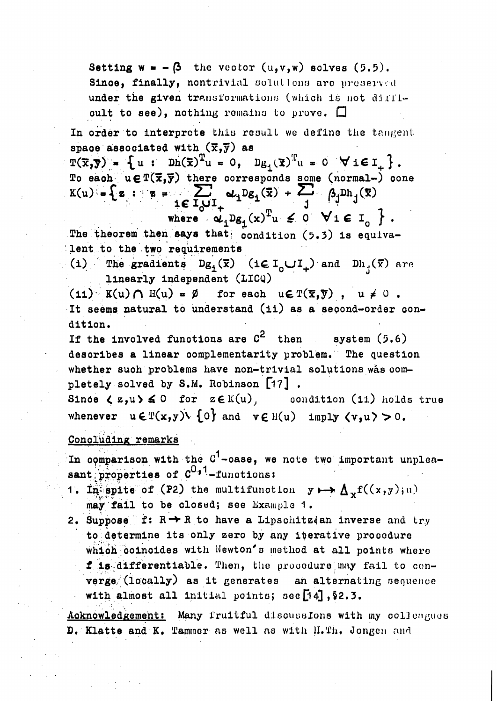Setting  $w = -\beta$  the vector  $(u,v,w)$  solves  $(5.5)$ . Since, finally, nontrivial solutions are preserved under the given transformations (which is not diffioult to see), nothing remains to prove.  $\square$ 

In order to interprete this result we define the tangent space associated with  $(\overline{x},\overline{y})$  as

 $T(\overline{x}, \overline{y}) = \{u : Dh(\overline{x})^T u = 0, D_{\mathcal{B}_1}(\overline{x})^T u = 0 \forall i \in I_\perp\}.$ To each  $u \in T(\bar{x}, \bar{y})$  there corresponds some (normal-) cone<br>  $K(u) = \left\{ z : z = \sum_{i=1}^{\infty} \sum_{j=1}^{\infty} \alpha_i D_{i,j}(\bar{x}) + \sum_{j=1}^{\infty} \beta_j D_{i,j}(\bar{x}) \right\}$ 

where  $\alpha_1 D_{\beta_1}(x)^T u \leq 0 \quad \forall \, i \in I$ ,  $\}$ . The theorem then says that condition  $(5.3)$  is equivalent to the two requirements

(1) The gradients  $Dg_1(\overline{x})$  (ie I<sub>o</sub>UI<sub>+</sub>) and  $Dh_1(\overline{x})$  are linearly independent (LICQ)

 $(11)$  K(u)  $\cap$  H(u) =  $\emptyset$  for each u $\in$  T( $\overline{x}, \overline{y}$ ), u  $\neq 0$ . It seems natural to understand (ii) as a second-order condition.

If the involved functions are  $c^2$  then  $system(5.6)$ describes a linear complementarity problem. The question whether such problems have non-trivial solutions was completely solved by S.M. Robinson [17].

Since  $\langle z,u\rangle \leq 0$  for  $z \in K(u)$ , condition (ii) holds true whenever  $u \in \mathbb{T}(x,y) \setminus \{0\}$  and  $v \in \mathbb{H}(u)$  imply  $\langle v, u \rangle > 0$ .

#### Concluding remarks

In comparison with the  $C^1$ -oase, we note two important unpleasant properties of  $C^{0.7}$ -functions:

- 1. In spite of (P2) the multifunction  $y \mapsto \Delta_x f((x,y),u)$ may fail to be closed; see Example 1.
- 2. Suppose f:  $R \rightarrow R$  to have a Lipschitz(an inverse and try to determine its only zero by any iterative procedure which coincides with Newton's method at all points where f is differentiable. Then, the procedure may fail to converge (locally) as it generates an alternating sequence with almost all initial points; see [4], §2.3.

Acknowledgement: Many fruitful discussions with my colleagues D. Klatte and K. Tammer as well as with H.Th. Jongen and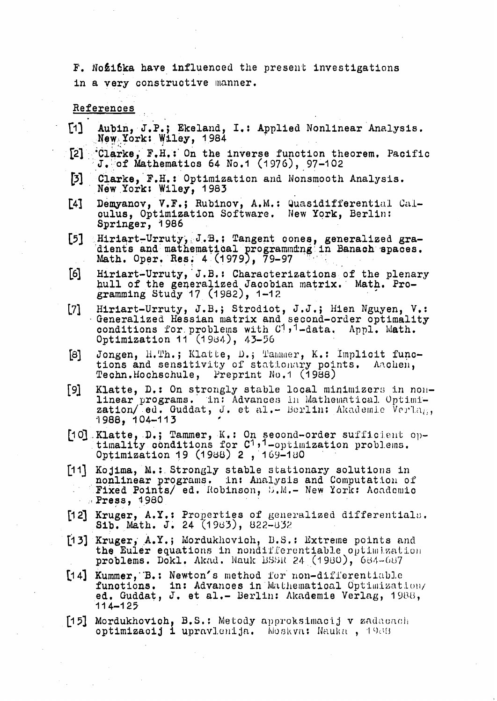F. Nozitka have influenced the present investigations in a very constructive manner.

References

- Aubin, J.P.; Ekeland, I.: Applied Nonlinear Analysis.  $[1]$ New York: Wiley, 1984
- \*Clarke, F.H.: On the inverse function theorem. Pacific<br>J. of Mathematics 64 No.1 (1976), 97-102  $\lceil 2 \rceil$
- Clarke, F.H.: Optimization and Nonsmooth Analysis.  $\mathbf{5}$ New York: Wiley, 1983
- Demyanov, V.F.; Rubinov, A.M.: Quasidifferential Cal- $[4]$ oulus, Optimization Software. New York, Berlin: Springer, 1986
- Hiriart-Urruty, J.B.: Tangent cones, generalized gra-<br>dients and mathematical programming in Banach spaces.<br>Math. Oper. Res. 4 (1979), 79-97  $[5]$
- $[6]$ Hiriart-Urruty, J.B.: Characterizations of the plenary hull of the generalized Jacobian matrix. Math. Programming Study 17 (1982), 1-12
- Hiriart-Urruty, J.B.; Strodiot, J.J.; Hien Nguyen, V.:<br>Generalized Hessian matrix and second-order optimality  $[7]$ conditions for problems with C<sup>1</sup>,<sup>1</sup>-data. Appl. Math. Optimization 11 (1984), 43-56
- Jongen, H.Th.; Klatte, D.; Tammer, K.: Implicit func-[8] tions and sensitivity of stationary points. Aachen, Techn.Hochschule, Preprint No.1 (1988)
- Klatte, D.: On strongly stable local minimizers in non-[9] linear programs. In: Advances in Mathematical Optimization/ ed. Guddat, J. et al. - Berlin: Akademie Verlag, 1988, 104-113
- [10] Klatte, D.; Tammer, K.: On second-order sufficient op-<br>timality conditions for  $C^1$ , 1-optimization problems. Optimization 19 (1988) 2, 169-180
- [11] Kojima, M.: Strongly stable stationary solutions in nonlinear programs. in: Analysis and Computation of Fixed Points/ ed. Robinson, S.M.- New York: Academic  $\therefore$  Press, 4980
- [12] Kruger, A.Y.: Properties of generalized differentials. Sib. Math. J. 24 (1983), 822-832
- [13] Kruger, A.Y.; Mordukhovich, B.S.: Extreme points and the Euler equations in nondifferentiable optimization problems. Dokl. Akad. Nauk BSSR 24 (1980), 684-687
- [14] Kummer, B.: Newton's method for non-differentiable functions. in: Advances in Mathematical Optimization/ ed. Guddat, J. et al.- Berlin: Akademie Verlag, 1988,  $114 - 125$
- [15] Mordukhovich, B.S.: Metody approksimacij v zadacach optimizacij i upravlenija. Moskva: Nauka, 1988